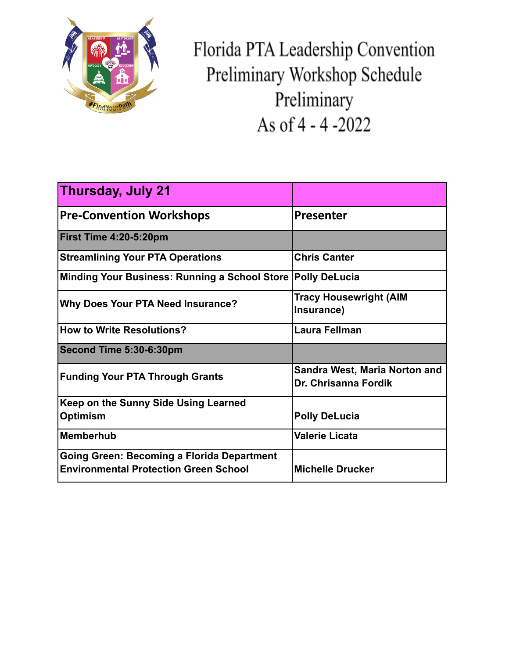

Florida PTA Leadership Convention Preliminary Workshop Schedule Preliminary As of 4 - 4 -2022

| <b>Thursday, July 21</b>                                                                   |                                                              |
|--------------------------------------------------------------------------------------------|--------------------------------------------------------------|
| <b>Pre-Convention Workshops</b>                                                            | <b>Presenter</b>                                             |
| First Time 4:20-5:20pm                                                                     |                                                              |
| <b>Streamlining Your PTA Operations</b>                                                    | <b>Chris Canter</b>                                          |
| Minding Your Business: Running a School Store                                              | <b>Polly DeLucia</b>                                         |
| <b>Why Does Your PTA Need Insurance?</b>                                                   | <b>Tracy Housewright (AIM</b><br>Insurance)                  |
| <b>How to Write Resolutions?</b>                                                           | <b>Laura Fellman</b>                                         |
| Second Time 5:30-6:30pm                                                                    |                                                              |
| <b>Funding Your PTA Through Grants</b>                                                     | <b>Sandra West, Maria Norton and</b><br>Dr. Chrisanna Fordik |
| Keep on the Sunny Side Using Learned<br><b>Optimism</b>                                    | <b>Polly DeLucia</b>                                         |
| Memberhub                                                                                  | <b>Valerie Licata</b>                                        |
| Going Green: Becoming a Florida Department<br><b>Environmental Protection Green School</b> | <b>Michelle Drucker</b>                                      |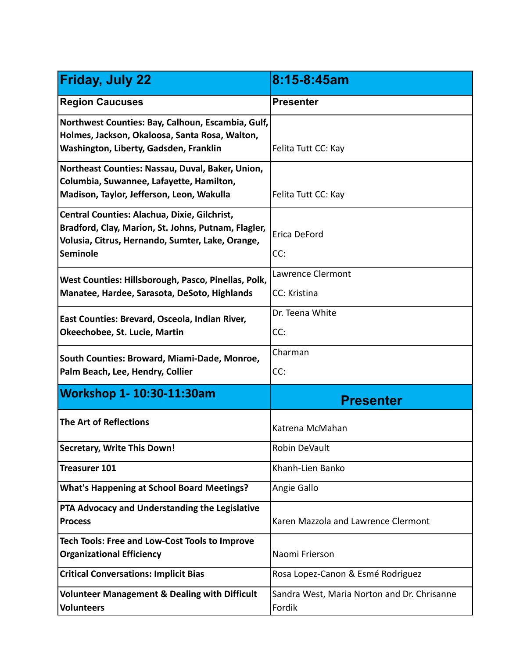| <b>Friday, July 22</b>                                                                                                                                              | 8:15-8:45am                                           |
|---------------------------------------------------------------------------------------------------------------------------------------------------------------------|-------------------------------------------------------|
| <b>Region Caucuses</b>                                                                                                                                              | <b>Presenter</b>                                      |
| Northwest Counties: Bay, Calhoun, Escambia, Gulf,<br>Holmes, Jackson, Okaloosa, Santa Rosa, Walton,<br>Washington, Liberty, Gadsden, Franklin                       | Felita Tutt CC: Kay                                   |
| Northeast Counties: Nassau, Duval, Baker, Union,<br>Columbia, Suwannee, Lafayette, Hamilton,<br>Madison, Taylor, Jefferson, Leon, Wakulla                           | Felita Tutt CC: Kay                                   |
| Central Counties: Alachua, Dixie, Gilchrist,<br>Bradford, Clay, Marion, St. Johns, Putnam, Flagler,<br>Volusia, Citrus, Hernando, Sumter, Lake, Orange,<br>Seminole | Erica DeFord<br>CC:                                   |
| West Counties: Hillsborough, Pasco, Pinellas, Polk,<br>Manatee, Hardee, Sarasota, DeSoto, Highlands                                                                 | Lawrence Clermont<br>CC: Kristina                     |
| East Counties: Brevard, Osceola, Indian River,<br>Okeechobee, St. Lucie, Martin                                                                                     | Dr. Teena White<br>CC:                                |
| South Counties: Broward, Miami-Dade, Monroe,<br>Palm Beach, Lee, Hendry, Collier                                                                                    | Charman<br>CC:                                        |
| Workshop 1- 10:30-11:30am                                                                                                                                           | <b>Presenter</b>                                      |
| The Art of Reflections                                                                                                                                              | Katrena McMahan                                       |
| <b>Secretary, Write This Down!</b>                                                                                                                                  | Robin DeVault                                         |
| <b>Treasurer 101</b>                                                                                                                                                | Khanh-Lien Banko                                      |
| <b>What's Happening at School Board Meetings?</b>                                                                                                                   | Angie Gallo                                           |
| PTA Advocacy and Understanding the Legislative<br><b>Process</b>                                                                                                    | Karen Mazzola and Lawrence Clermont                   |
| Tech Tools: Free and Low-Cost Tools to Improve<br><b>Organizational Efficiency</b>                                                                                  | Naomi Frierson                                        |
| <b>Critical Conversations: Implicit Bias</b>                                                                                                                        | Rosa Lopez-Canon & Esmé Rodriguez                     |
| <b>Volunteer Management &amp; Dealing with Difficult</b><br><b>Volunteers</b>                                                                                       | Sandra West, Maria Norton and Dr. Chrisanne<br>Fordik |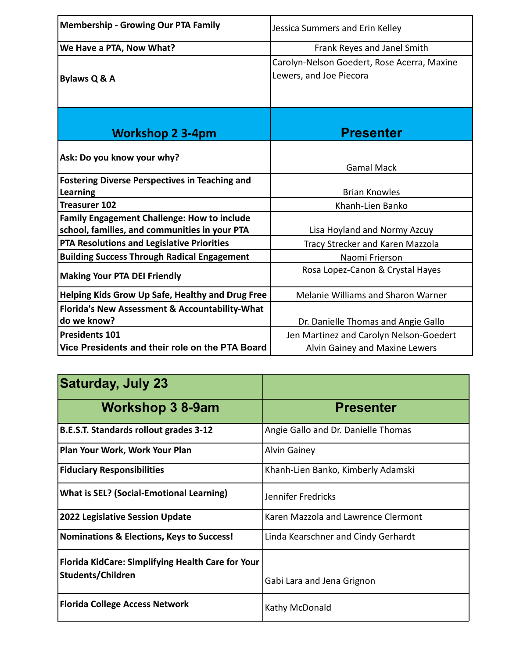| <b>Membership - Growing Our PTA Family</b>                                                          | Jessica Summers and Erin Kelley                                        |
|-----------------------------------------------------------------------------------------------------|------------------------------------------------------------------------|
| We Have a PTA, Now What?                                                                            | Frank Reyes and Janel Smith                                            |
| Bylaws Q & A                                                                                        | Carolyn-Nelson Goedert, Rose Acerra, Maxine<br>Lewers, and Joe Piecora |
| <b>Workshop 2 3-4pm</b>                                                                             | <b>Presenter</b>                                                       |
| Ask: Do you know your why?                                                                          | <b>Gamal Mack</b>                                                      |
| <b>Fostering Diverse Perspectives in Teaching and</b><br>Learning                                   | <b>Brian Knowles</b>                                                   |
| <b>Treasurer 102</b>                                                                                | Khanh-Lien Banko                                                       |
| <b>Family Engagement Challenge: How to include</b><br>school, families, and communities in your PTA | Lisa Hoyland and Normy Azcuy                                           |
| PTA Resolutions and Legislative Priorities                                                          | Tracy Strecker and Karen Mazzola                                       |
| <b>Building Success Through Radical Engagement</b>                                                  | Naomi Frierson                                                         |
| <b>Making Your PTA DEI Friendly</b>                                                                 | Rosa Lopez-Canon & Crystal Hayes                                       |
| Helping Kids Grow Up Safe, Healthy and Drug Free                                                    | Melanie Williams and Sharon Warner                                     |
| Florida's New Assessment & Accountability-What<br>do we know?                                       | Dr. Danielle Thomas and Angie Gallo                                    |
| <b>Presidents 101</b>                                                                               | Jen Martinez and Carolyn Nelson-Goedert                                |
| Vice Presidents and their role on the PTA Board                                                     | Alvin Gainey and Maxine Lewers                                         |

| <b>Saturday, July 23</b>                                 |                                     |
|----------------------------------------------------------|-------------------------------------|
| <b>Workshop 3 8-9am</b>                                  | <b>Presenter</b>                    |
| <b>B.E.S.T. Standards rollout grades 3-12</b>            | Angie Gallo and Dr. Danielle Thomas |
| Plan Your Work, Work Your Plan                           | <b>Alvin Gainey</b>                 |
| <b>Fiduciary Responsibilities</b>                        | Khanh-Lien Banko, Kimberly Adamski  |
| <b>What is SEL? (Social-Emotional Learning)</b>          | Jennifer Fredricks                  |
| <b>2022 Legislative Session Update</b>                   | Karen Mazzola and Lawrence Clermont |
| <b>Nominations &amp; Elections, Keys to Success!</b>     | Linda Kearschner and Cindy Gerhardt |
| <b>Florida KidCare: Simplifying Health Care for Your</b> |                                     |
| Students/Children                                        | Gabi Lara and Jena Grignon          |
| <b>Florida College Access Network</b>                    | Kathy McDonald                      |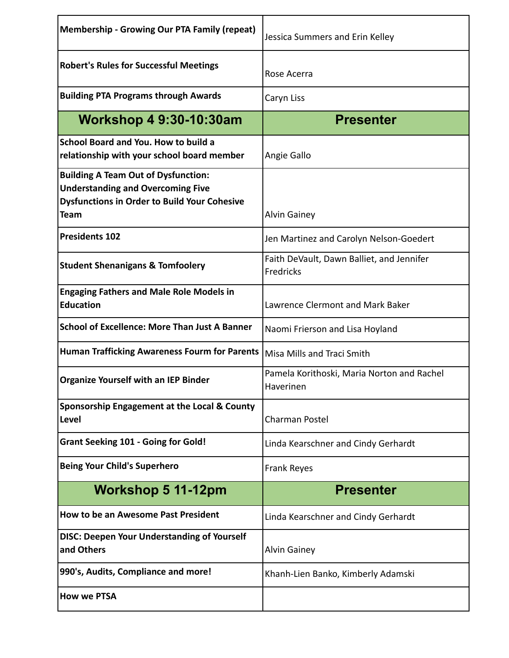| <b>Membership - Growing Our PTA Family (repeat)</b>                                                                                                          | Jessica Summers and Erin Kelley                         |
|--------------------------------------------------------------------------------------------------------------------------------------------------------------|---------------------------------------------------------|
| <b>Robert's Rules for Successful Meetings</b>                                                                                                                | Rose Acerra                                             |
| <b>Building PTA Programs through Awards</b>                                                                                                                  | Caryn Liss                                              |
| <b>Workshop 4 9:30-10:30am</b>                                                                                                                               | <b>Presenter</b>                                        |
| School Board and You. How to build a<br>relationship with your school board member                                                                           | Angie Gallo                                             |
| <b>Building A Team Out of Dysfunction:</b><br><b>Understanding and Overcoming Five</b><br><b>Dysfunctions in Order to Build Your Cohesive</b><br><b>Team</b> | <b>Alvin Gainey</b>                                     |
| <b>Presidents 102</b>                                                                                                                                        | Jen Martinez and Carolyn Nelson-Goedert                 |
| <b>Student Shenanigans &amp; Tomfoolery</b>                                                                                                                  | Faith DeVault, Dawn Balliet, and Jennifer<br>Fredricks  |
| <b>Engaging Fathers and Male Role Models in</b><br><b>Education</b>                                                                                          | Lawrence Clermont and Mark Baker                        |
| <b>School of Excellence: More Than Just A Banner</b>                                                                                                         | Naomi Frierson and Lisa Hoyland                         |
| <b>Human Trafficking Awareness Fourm for Parents</b>                                                                                                         | Misa Mills and Traci Smith                              |
| <b>Organize Yourself with an IEP Binder</b>                                                                                                                  | Pamela Korithoski, Maria Norton and Rachel<br>Haverinen |
| Sponsorship Engagement at the Local & County<br>Level                                                                                                        | Charman Postel                                          |
| <b>Grant Seeking 101 - Going for Gold!</b>                                                                                                                   | Linda Kearschner and Cindy Gerhardt                     |
| <b>Being Your Child's Superhero</b>                                                                                                                          | <b>Frank Reyes</b>                                      |
| <b>Workshop 5 11-12pm</b>                                                                                                                                    | <b>Presenter</b>                                        |
| How to be an Awesome Past President                                                                                                                          | Linda Kearschner and Cindy Gerhardt                     |
| <b>DISC: Deepen Your Understanding of Yourself</b><br>and Others                                                                                             | <b>Alvin Gainey</b>                                     |
| 990's, Audits, Compliance and more!                                                                                                                          | Khanh-Lien Banko, Kimberly Adamski                      |
| <b>How we PTSA</b>                                                                                                                                           |                                                         |